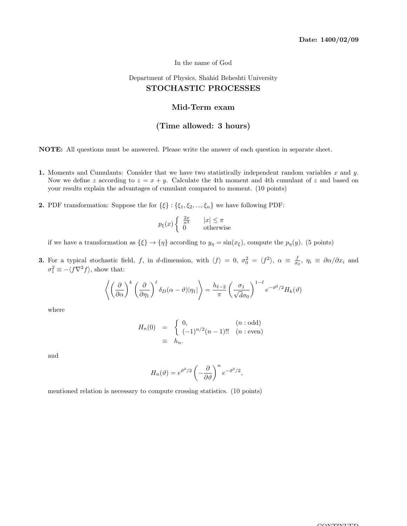In the name of God

## Department of Physics, Shahid Beheshti University STOCHASTIC PROCESSES

## Mid-Term exam

## (Time allowed: 3 hours)

NOTE: All questions must be answered. Please write the answer of each question in separate sheet.

- 1. Moments and Cumulants: Consider that we have two statistically independent random variables  $x$  and  $y$ . Now we define z according to  $z = x + y$ . Calculate the 4th moment and 4th cumulant of z and based on your results explain the advantages of cumulant compared to moment. (10 points)
- **2.** PDF transformation: Suppose the for  $\{\xi\}$  :  $\{\xi_1, \xi_2, ..., \xi_n\}$  we have following PDF:

$$
p_{\xi}(x) \begin{cases} \frac{2x}{\pi^2} & |x| \le \pi \\ 0 & \text{otherwise} \end{cases}
$$

if we have a transformation as  $\{\xi\} \to \{\eta\}$  according to  $y_{\eta} = \sin(x_{\xi})$ , compute the  $p_{\eta}(y)$ . (5 points)

**3.** For a typical stochastic field, f, in d-dimension, with  $\langle f \rangle = 0$ ,  $\sigma_0^2 = \langle f^2 \rangle$ ,  $\alpha \equiv \frac{f}{\sigma_0}$ ,  $\eta_i \equiv \partial \alpha / \partial x_i$  and  $\sigma_1^2 \equiv -\langle f\nabla^2 f \rangle$ , show that:

$$
\left\langle \left(\frac{\partial}{\partial \alpha}\right)^k \left(\frac{\partial}{\partial \eta_1}\right)^{\ell} \delta_D(\alpha - \vartheta) |\eta_1| \right\rangle = \frac{h_{\ell-2}}{\pi} \left(\frac{\sigma_1}{\sqrt{d}\sigma_0}\right)^{1-\ell} e^{-\vartheta^2/2} H_k(\vartheta)
$$

where

$$
H_n(0) = \begin{cases} 0, & (n:odd) \\ (-1)^{n/2}(n-1)!! & (n:even) \end{cases}
$$
  

$$
\equiv h_n.
$$

and

$$
H_n(\vartheta) = e^{\vartheta^2/2} \left(-\frac{\partial}{\partial \vartheta}\right)^n e^{-\vartheta^2/2},
$$

mentioned relation is necessary to compute crossing statistics. (10 points)